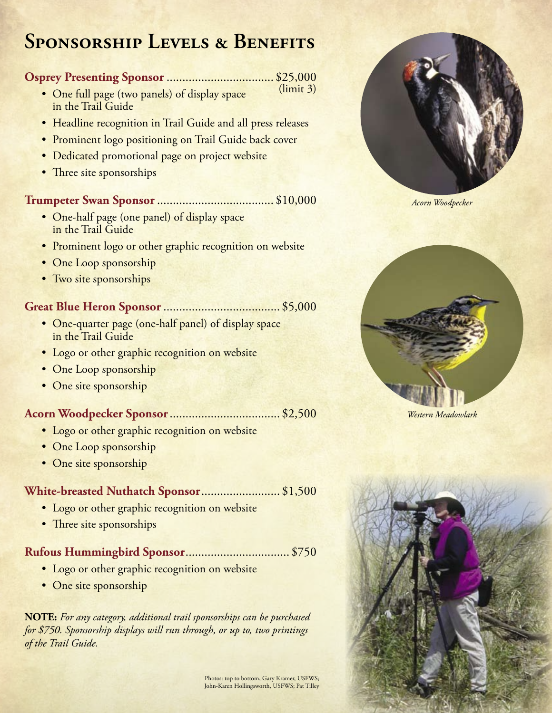# **Sponsorship Levels & Benefits**

### **Osprey Presenting Sponsor** .................................. \$25,000

- One full page (two panels) of display space in the Trail Guide (limit 3)
- Headline recognition in Trail Guide and all press releases
- Prominent logo positioning on Trail Guide back cover
- Dedicated promotional page on project website
- Three site sponsorships

# **Trumpeter Swan Sponsor** ..................................... \$10,000

- One-half page (one panel) of display space in the Trail Guide
- Prominent logo or other graphic recognition on website
- One Loop sponsorship
- Two site sponsorships

# **Great Blue Heron Sponsor** ..................................... \$5,000

- One-quarter page (one-half panel) of display space in the Trail Guide
- Logo or other graphic recognition on website
- One Loop sponsorship
- One site sponsorship

# **Acorn Woodpecker Sponsor**................................... \$2,500

- Logo or other graphic recognition on website
- One Loop sponsorship
- One site sponsorship

#### **White-breasted Nuthatch Sponsor**......................... \$1,500

- Logo or other graphic recognition on website
- Three site sponsorships

# **Rufous Hummingbird Sponsor**................................. \$750

- Logo or other graphic recognition on website
- One site sponsorship

**NOTE:** *For any category, additional trail sponsorships can be purchased for \$750. Sponsorship displays will run through, or up to, two printings of the Trail Guide.* 



*Acorn Woodpecker*



*Western Meadowlark*